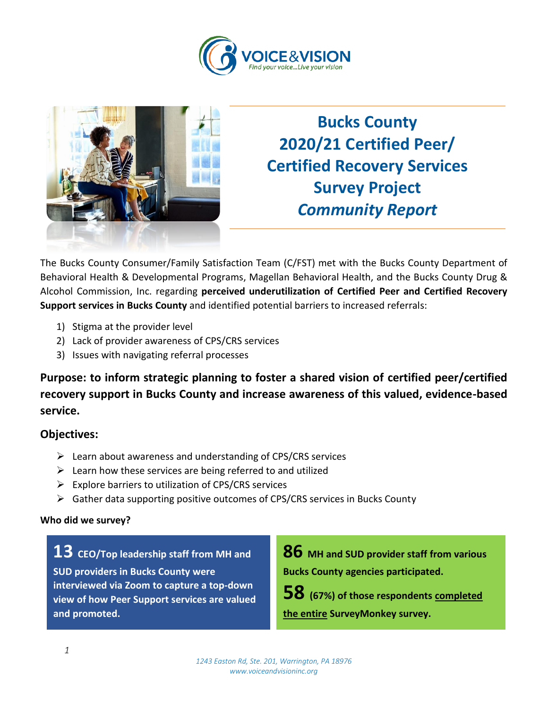



**Bucks County 2020/21 Certified Peer/ Certified Recovery Services Survey Project** *Community Report*

The Bucks County Consumer/Family Satisfaction Team (C/FST) met with the Bucks County Department of Behavioral Health & Developmental Programs, Magellan Behavioral Health, and the Bucks County Drug & Alcohol Commission, Inc. regarding **perceived underutilization of Certified Peer and Certified Recovery Support services in Bucks County** and identified potential barriers to increased referrals:

- 1) Stigma at the provider level
- 2) Lack of provider awareness of CPS/CRS services
- 3) Issues with navigating referral processes

**Purpose: to inform strategic planning to foster a shared vision of certified peer/certified recovery support in Bucks County and increase awareness of this valued, evidence-based service.**

### **Objectives:**

- ➢ Learn about awareness and understanding of CPS/CRS services
- $\triangleright$  Learn how these services are being referred to and utilized
- ➢ Explore barriers to utilization of CPS/CRS services
- ➢ Gather data supporting positive outcomes of CPS/CRS services in Bucks County

#### **Who did we survey?**

**13 CEO/Top leadership staff from MH and SUD providers in Bucks County were interviewed via Zoom to capture a top-down view of how Peer Support services are valued and promoted.**

**86 MH and SUD provider staff from various Bucks County agencies participated.**

**58 (67%) of those respondents completed** 

**the entire SurveyMonkey survey.**

*1243 Easton Rd, Ste. 201, Warrington, PA 18976 www.voiceandvisioninc.org*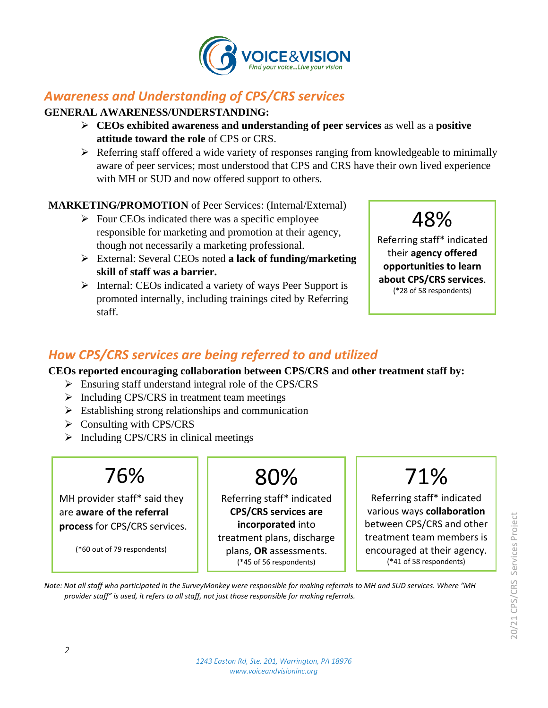

## *Awareness and Understanding of CPS/CRS services*

#### **GENERAL AWARENESS/UNDERSTANDING:**

- ➢ **CEOs exhibited awareness and understanding of peer services** as well as a **positive attitude toward the role** of CPS or CRS.
- ➢ Referring staff offered a wide variety of responses ranging from knowledgeable to minimally aware of peer services; most understood that CPS and CRS have their own lived experience with MH or SUD and now offered support to others.

### **MARKETING/PROMOTION** of Peer Services: (Internal/External)

- $\triangleright$  Four CEOs indicated there was a specific employee responsible for marketing and promotion at their agency, though not necessarily a marketing professional.
- ➢ External: Several CEOs noted **a lack of funding/marketing skill of staff was a barrier.**
- ➢ Internal: CEOs indicated a variety of ways Peer Support is promoted internally, including trainings cited by Referring staff.



Referring staff\* indicated their **agency offered opportunities to learn about CPS/CRS services**. (\*28 of 58 respondents)

## *How CPS/CRS services are being referred to and utilized*

**CEOs reported encouraging collaboration between CPS/CRS and other treatment staff by:**

- ➢ Ensuring staff understand integral role of the CPS/CRS
- ➢ Including CPS/CRS in treatment team meetings
- $\triangleright$  Establishing strong relationships and communication
- $\triangleright$  Consulting with CPS/CRS
- $\triangleright$  Including CPS/CRS in clinical meetings



MH provider staff\* said they are **aware of the referral process** for CPS/CRS services.

(\*60 out of 79 respondents)

# 80%

Referring staff\* indicated **CPS/CRS services are incorporated** into treatment plans, discharge plans, **OR** assessments. (\*45 of 56 respondents)

# 71%

Referring staff\* indicated various ways **collaboration**  between CPS/CRS and other treatment team members is encouraged at their agency. (\*41 of 58 respondents)

*Note: Not all staff who participated in the SurveyMonkey were responsible for making referrals to MH and SUD services. Where "MH provider staff" is used, it refers to all staff, not just those responsible for making referrals.*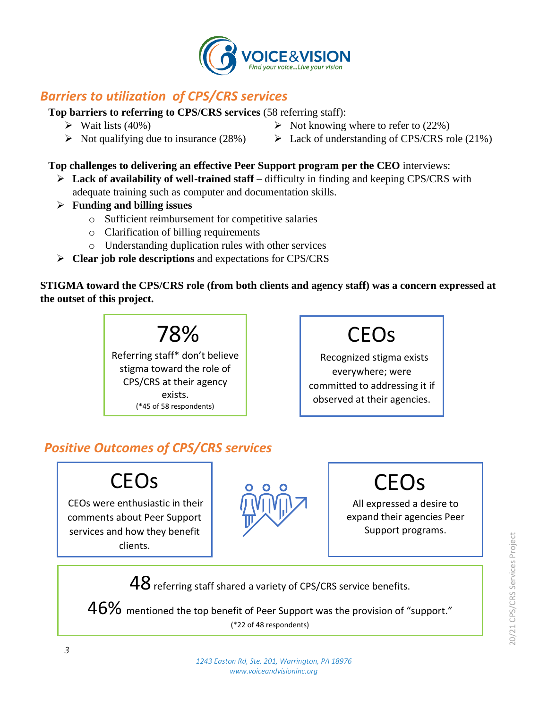

## *Barriers to utilization of CPS/CRS services*

**Top barriers to referring to CPS/CRS services** (58 referring staff):

- $\triangleright$  Wait lists (40%)
- $\triangleright$  Not qualifying due to insurance (28%)
- $\triangleright$  Not knowing where to refer to (22%)
- $\triangleright$  Lack of understanding of CPS/CRS role (21%)

### **Top challenges to delivering an effective Peer Support program per the CEO** interviews:

- ➢ **Lack of availability of well-trained staff** difficulty in finding and keeping CPS/CRS with adequate training such as computer and documentation skills.
- ➢ **Funding and billing issues**
	- o Sufficient reimbursement for competitive salaries
	- o Clarification of billing requirements
	- o Understanding duplication rules with other services
- ➢ **Clear job role descriptions** and expectations for CPS/CRS

**STIGMA toward the CPS/CRS role (from both clients and agency staff) was a concern expressed at the outset of this project.**

> 78% Referring staff\* don't believe stigma toward the role of CPS/CRS at their agency exists. (\*45 of 58 respondents)



Recognized stigma exists everywhere; were committed to addressing it if observed at their agencies.

# *Positive Outcomes of CPS/CRS services*

# **CEOs**

CEOs were enthusiastic in their comments about Peer Support services and how they benefit clients.



**CEOs** 

All expressed a desire to expand their agencies Peer Support programs.

 $48$  referring staff shared a variety of CPS/CRS service benefits.

 $46\%$  mentioned the top benefit of Peer Support was the provision of "support." (\*22 of 48 respondents)